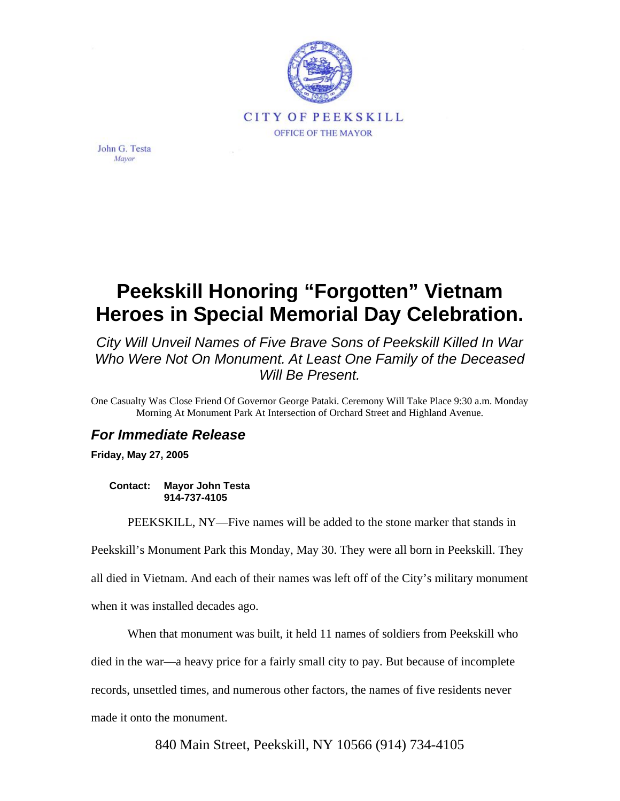

John G. Testa Mavor

## **Peekskill Honoring "Forgotten" Vietnam Heroes in Special Memorial Day Celebration.**

*City Will Unveil Names of Five Brave Sons of Peekskill Killed In War Who Were Not On Monument. At Least One Family of the Deceased Will Be Present.* 

One Casualty Was Close Friend Of Governor George Pataki. Ceremony Will Take Place 9:30 a.m. Monday Morning At Monument Park At Intersection of Orchard Street and Highland Avenue.

## *For Immediate Release*

**Friday, May 27, 2005** 

**Contact: Mayor John Testa 914-737-4105** 

PEEKSKILL, NY—Five names will be added to the stone marker that stands in

Peekskill's Monument Park this Monday, May 30. They were all born in Peekskill. They all died in Vietnam. And each of their names was left off of the City's military monument

when it was installed decades ago.

When that monument was built, it held 11 names of soldiers from Peekskill who

died in the war—a heavy price for a fairly small city to pay. But because of incomplete

records, unsettled times, and numerous other factors, the names of five residents never

made it onto the monument.

840 Main Street, Peekskill, NY 10566 (914) 734-4105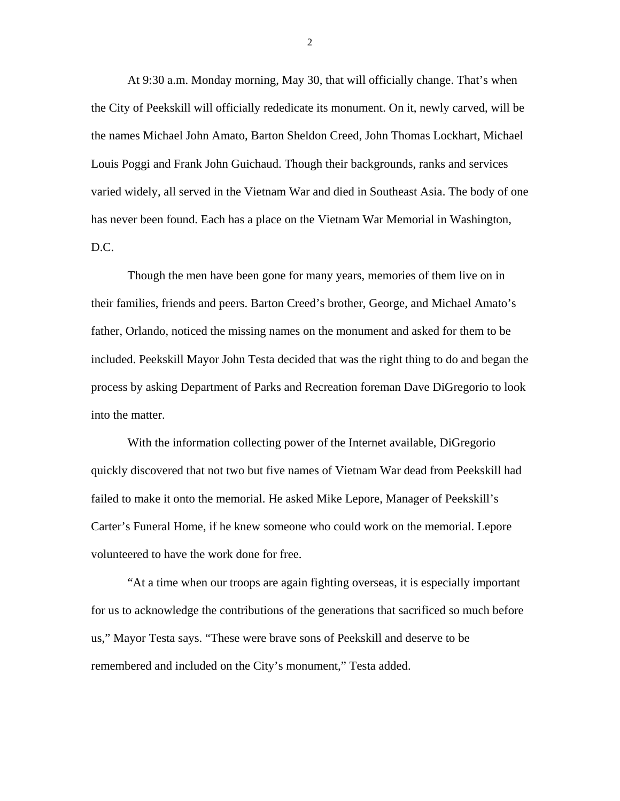At 9:30 a.m. Monday morning, May 30, that will officially change. That's when the City of Peekskill will officially rededicate its monument. On it, newly carved, will be the names Michael John Amato, Barton Sheldon Creed, John Thomas Lockhart, Michael Louis Poggi and Frank John Guichaud. Though their backgrounds, ranks and services varied widely, all served in the Vietnam War and died in Southeast Asia. The body of one has never been found. Each has a place on the Vietnam War Memorial in Washington, D.C.

Though the men have been gone for many years, memories of them live on in their families, friends and peers. Barton Creed's brother, George, and Michael Amato's father, Orlando, noticed the missing names on the monument and asked for them to be included. Peekskill Mayor John Testa decided that was the right thing to do and began the process by asking Department of Parks and Recreation foreman Dave DiGregorio to look into the matter.

With the information collecting power of the Internet available, DiGregorio quickly discovered that not two but five names of Vietnam War dead from Peekskill had failed to make it onto the memorial. He asked Mike Lepore, Manager of Peekskill's Carter's Funeral Home, if he knew someone who could work on the memorial. Lepore volunteered to have the work done for free.

"At a time when our troops are again fighting overseas, it is especially important for us to acknowledge the contributions of the generations that sacrificed so much before us," Mayor Testa says. "These were brave sons of Peekskill and deserve to be remembered and included on the City's monument," Testa added.

2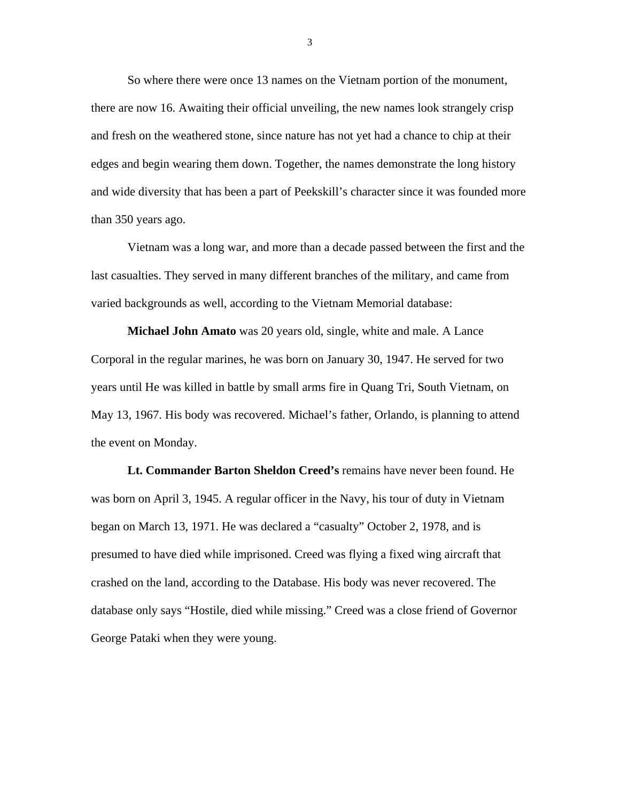So where there were once 13 names on the Vietnam portion of the monument, there are now 16. Awaiting their official unveiling, the new names look strangely crisp and fresh on the weathered stone, since nature has not yet had a chance to chip at their edges and begin wearing them down. Together, the names demonstrate the long history and wide diversity that has been a part of Peekskill's character since it was founded more than 350 years ago.

Vietnam was a long war, and more than a decade passed between the first and the last casualties. They served in many different branches of the military, and came from varied backgrounds as well, according to the Vietnam Memorial database:

**Michael John Amato** was 20 years old, single, white and male. A Lance Corporal in the regular marines, he was born on January 30, 1947. He served for two years until He was killed in battle by small arms fire in Quang Tri, South Vietnam, on May 13, 1967. His body was recovered. Michael's father, Orlando, is planning to attend the event on Monday.

**Lt. Commander Barton Sheldon Creed's** remains have never been found. He was born on April 3, 1945. A regular officer in the Navy, his tour of duty in Vietnam began on March 13, 1971. He was declared a "casualty" October 2, 1978, and is presumed to have died while imprisoned. Creed was flying a fixed wing aircraft that crashed on the land, according to the Database. His body was never recovered. The database only says "Hostile, died while missing." Creed was a close friend of Governor George Pataki when they were young.

3